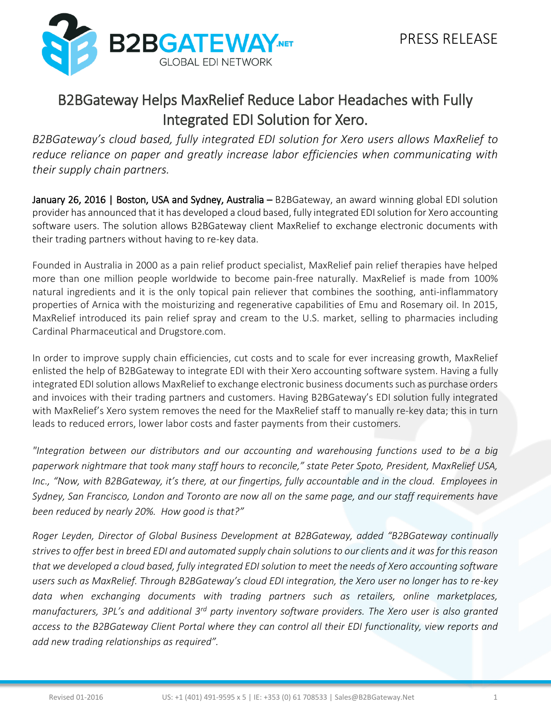

## B2BGateway Helps MaxRelief Reduce Labor Headaches with Fully Integrated EDI Solution for Xero.

*B2BGateway's cloud based, fully integrated EDI solution for Xero users allows MaxRelief to reduce reliance on paper and greatly increase labor efficiencies when communicating with their supply chain partners.*

January 26, 2016 | Boston, USA and Sydney, Australia – B2BGateway, an award winning global EDI solution provider has announced that it has developed a cloud based, fully integrated EDI solution for Xero accounting software users. The solution allows B2BGateway client MaxRelief to exchange electronic documents with their trading partners without having to re-key data.

Founded in Australia in 2000 as a pain relief product specialist, MaxRelief pain relief therapies have helped more than one million people worldwide to become pain-free naturally. MaxRelief is made from 100% natural ingredients and it is the only topical pain reliever that combines the soothing, anti-inflammatory properties of Arnica with the moisturizing and regenerative capabilities of Emu and Rosemary oil. In 2015, MaxRelief introduced its pain relief spray and cream to the U.S. market, selling to pharmacies including Cardinal Pharmaceutical and Drugstore.com.

In order to improve supply chain efficiencies, cut costs and to scale for ever increasing growth, MaxRelief enlisted the help of B2BGateway to integrate EDI with their Xero accounting software system. Having a fully integrated EDI solution allows MaxRelief to exchange electronic business documents such as purchase orders and invoices with their trading partners and customers. Having B2BGateway's EDI solution fully integrated with MaxRelief's Xero system removes the need for the MaxRelief staff to manually re-key data; this in turn leads to reduced errors, lower labor costs and faster payments from their customers.

*"Integration between our distributors and our accounting and warehousing functions used to be a big paperwork nightmare that took many staff hours to reconcile," state Peter Spoto, President, MaxRelief USA, Inc., "Now, with B2BGateway, it's there, at our fingertips, fully accountable and in the cloud. Employees in Sydney, San Francisco, London and Toronto are now all on the same page, and our staff requirements have been reduced by nearly 20%. How good is that?"*

*Roger Leyden, Director of Global Business Development at B2BGateway, added "B2BGateway continually strives to offer best in breed EDI and automated supply chain solutions to our clients and it was for this reason that we developed a cloud based, fully integrated EDI solution to meet the needs of Xero accounting software users such as MaxRelief. Through B2BGateway's cloud EDI integration, the Xero user no longer has to re-key data when exchanging documents with trading partners such as retailers, online marketplaces, manufacturers, 3PL's and additional 3rd party inventory software providers. The Xero user is also granted access to the B2BGateway Client Portal where they can control all their EDI functionality, view reports and add new trading relationships as required".*